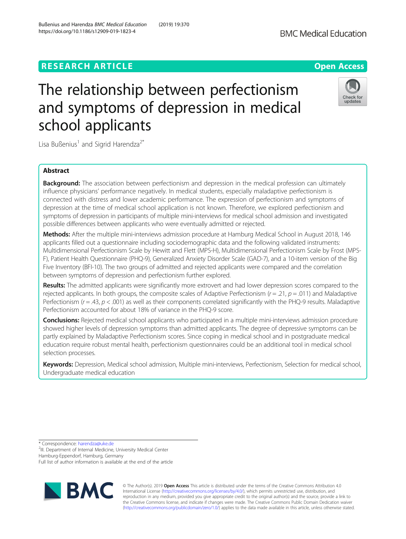# **RESEARCH ARTICLE Example 2014 12:30 The Contract of Contract ACCESS**

# The relationship between perfectionism and symptoms of depression in medical school applicants

Lisa Bußenius<sup>1</sup> and Sigrid Harendza<sup>2\*</sup>

# Abstract

**Background:** The association between perfectionism and depression in the medical profession can ultimately influence physicians' performance negatively. In medical students, especially maladaptive perfectionism is connected with distress and lower academic performance. The expression of perfectionism and symptoms of depression at the time of medical school application is not known. Therefore, we explored perfectionism and symptoms of depression in participants of multiple mini-interviews for medical school admission and investigated possible differences between applicants who were eventually admitted or rejected.

Methods: After the multiple mini-interviews admission procedure at Hamburg Medical School in August 2018, 146 applicants filled out a questionnaire including sociodemographic data and the following validated instruments: Multidimensional Perfectionism Scale by Hewitt and Flett (MPS-H), Multidimensional Perfectionism Scale by Frost (MPS-F), Patient Health Questionnaire (PHQ-9), Generalized Anxiety Disorder Scale (GAD-7), and a 10-item version of the Big Five Inventory (BFI-10). The two groups of admitted and rejected applicants were compared and the correlation between symptoms of depression and perfectionism further explored.

Results: The admitted applicants were significantly more extrovert and had lower depression scores compared to the rejected applicants. In both groups, the composite scales of Adaptive Perfectionism ( $r = .21$ ,  $p = .011$ ) and Maladaptive Perfectionism ( $r = 43$ ,  $p < .001$ ) as well as their components correlated significantly with the PHQ-9 results. Maladaptive Perfectionism accounted for about 18% of variance in the PHQ-9 score.

Conclusions: Rejected medical school applicants who participated in a multiple mini-interviews admission procedure showed higher levels of depression symptoms than admitted applicants. The degree of depressive symptoms can be partly explained by Maladaptive Perfectionism scores. Since coping in medical school and in postgraduate medical education require robust mental health, perfectionism questionnaires could be an additional tool in medical school selection processes.

Keywords: Depression, Medical school admission, Multiple mini-interviews, Perfectionism, Selection for medical school, Undergraduate medical education

\* Correspondence: [harendza@uke.de](mailto:harendza@uke.de) <sup>2</sup>

<sup>2</sup>III. Department of Internal Medicine, University Medical Center

Hamburg-Eppendorf, Hamburg, Germany

Full list of author information is available at the end of the article

© The Author(s). 2019 **Open Access** This article is distributed under the terms of the Creative Commons Attribution 4.0 International License [\(http://creativecommons.org/licenses/by/4.0/](http://creativecommons.org/licenses/by/4.0/)), which permits unrestricted use, distribution, and reproduction in any medium, provided you give appropriate credit to the original author(s) and the source, provide a link to the Creative Commons license, and indicate if changes were made. The Creative Commons Public Domain Dedication waiver [\(http://creativecommons.org/publicdomain/zero/1.0/](http://creativecommons.org/publicdomain/zero/1.0/)) applies to the data made available in this article, unless otherwise stated.







Bußenius and Harendza BMC Medical Education (2019) 19:370 https://doi.org/10.1186/s12909-019-1823-4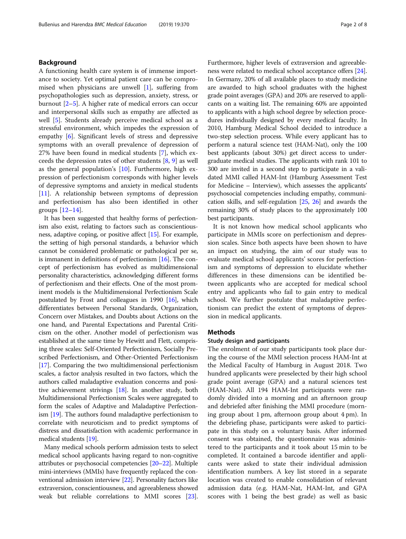# Background

A functioning health care system is of immense importance to society. Yet optimal patient care can be compromised when physicians are unwell [\[1](#page-6-0)], suffering from psychopathologies such as depression, anxiety, stress, or burnout [[2](#page-6-0)–[5\]](#page-6-0). A higher rate of medical errors can occur and interpersonal skills such as empathy are affected as well [[5\]](#page-6-0). Students already perceive medical school as a stressful environment, which impedes the expression of empathy [[6](#page-6-0)]. Significant levels of stress and depressive symptoms with an overall prevalence of depression of 27% have been found in medical students [\[7](#page-6-0)], which exceeds the depression rates of other students  $[8, 9]$  $[8, 9]$  $[8, 9]$  $[8, 9]$  as well as the general population's [[10](#page-6-0)]. Furthermore, high expression of perfectionism corresponds with higher levels of depressive symptoms and anxiety in medical students [[11\]](#page-6-0). A relationship between symptoms of depression and perfectionism has also been identified in other groups  $[12-14]$  $[12-14]$  $[12-14]$  $[12-14]$  $[12-14]$ .

It has been suggested that healthy forms of perfectionism also exist, relating to factors such as conscientiousness, adaptive coping, or positive affect [\[15](#page-6-0)]. For example, the setting of high personal standards, a behavior which cannot be considered problematic or pathological per se, is immanent in definitions of perfectionism  $[16]$  $[16]$ . The concept of perfectionism has evolved as multidimensional personality characteristics, acknowledging different forms of perfectionism and their effects. One of the most prominent models is the Multidimensional Perfectionism Scale postulated by Frost and colleagues in 1990 [[16\]](#page-6-0), which differentiates between Personal Standards, Organization, Concern over Mistakes, and Doubts about Actions on the one hand, and Parental Expectations and Parental Criticism on the other. Another model of perfectionism was established at the same time by Hewitt and Flett, comprising three scales: Self-Oriented Perfectionism, Socially Prescribed Perfectionism, and Other-Oriented Perfectionism [[17](#page-6-0)]. Comparing the two multidimensional perfectionism scales, a factor analysis resulted in two factors, which the authors called maladaptive evaluation concerns and positive achievement strivings [\[18](#page-6-0)]. In another study, both Multidimensional Perfectionism Scales were aggregated to form the scales of Adaptive and Maladaptive Perfectionism [\[19\]](#page-6-0). The authors found maladaptive perfectionism to correlate with neuroticism and to predict symptoms of distress and dissatisfaction with academic performance in medical students [[19](#page-6-0)].

Many medical schools perform admission tests to select medical school applicants having regard to non-cognitive attributes or psychosocial competencies [\[20](#page-6-0)–[22](#page-6-0)]. Multiple mini-interviews (MMIs) have frequently replaced the conventional admission interview [\[22\]](#page-6-0). Personality factors like extraversion, conscientiousness, and agreeableness showed weak but reliable correlations to MMI scores [[23](#page-7-0)]. Furthermore, higher levels of extraversion and agreeableness were related to medical school acceptance offers [[24](#page-7-0)]. In Germany, 20% of all available places to study medicine are awarded to high school graduates with the highest grade point averages (GPA) and 20% are reserved to applicants on a waiting list. The remaining 60% are appointed to applicants with a high school degree by selection procedures individually designed by every medical faculty. In 2010, Hamburg Medical School decided to introduce a two-step selection process. While every applicant has to perform a natural science test (HAM-Nat), only the 100 best applicants (about 30%) get direct access to undergraduate medical studies. The applicants with rank 101 to 300 are invited in a second step to participate in a validated MMI called HAM-Int (Hamburg Assessment Test for Medicine – Interview), which assesses the applicants' psychosocial competencies including empathy, communication skills, and self-regulation [\[25](#page-7-0), [26\]](#page-7-0) and awards the remaining 30% of study places to the approximately 100 best participants.

It is not known how medical school applicants who participate in MMIs score on perfectionism and depression scales. Since both aspects have been shown to have an impact on studying, the aim of our study was to evaluate medical school applicants' scores for perfectionism and symptoms of depression to elucidate whether differences in these dimensions can be identified between applicants who are accepted for medical school entry and applicants who fail to gain entry to medical school. We further postulate that maladaptive perfectionism can predict the extent of symptoms of depression in medical applicants.

# Methods

## Study design and participants

The enrolment of our study participants took place during the course of the MMI selection process HAM-Int at the Medical Faculty of Hamburg in August 2018. Two hundred applicants were preselected by their high school grade point average (GPA) and a natural sciences test (HAM-Nat). All 194 HAM-Int participants were randomly divided into a morning and an afternoon group and debriefed after finishing the MMI procedure (morning group about 1 pm, afternoon group about 4 pm). In the debriefing phase, participants were asked to participate in this study on a voluntary basis. After informed consent was obtained, the questionnaire was administered to the participants and it took about 15 min to be completed. It contained a barcode identifier and applicants were asked to state their individual admission identification numbers. A key list stored in a separate location was created to enable consolidation of relevant admission data (e.g. HAM-Nat, HAM-Int, and GPA scores with 1 being the best grade) as well as basic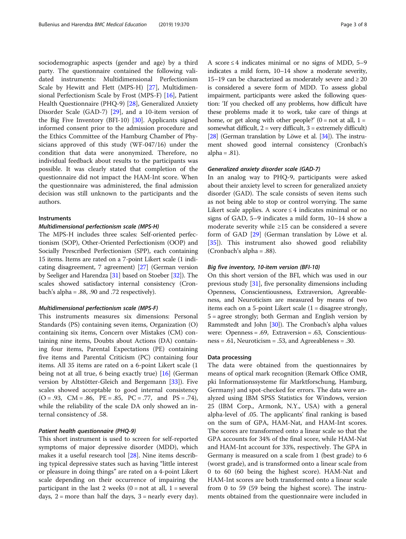sociodemographic aspects (gender and age) by a third party. The questionnaire contained the following validated instruments: Multidimensional Perfectionism Scale by Hewitt and Flett (MPS-H) [\[27](#page-7-0)], Multidimensional Perfectionism Scale by Frost (MPS-F) [[16\]](#page-6-0), Patient Health Questionnaire (PHQ-9) [\[28](#page-7-0)], Generalized Anxiety Disorder Scale (GAD-7) [\[29](#page-7-0)], and a 10-item version of the Big Five Inventory (BFI-10) [\[30\]](#page-7-0). Applicants signed informed consent prior to the admission procedure and the Ethics Committee of the Hamburg Chamber of Physicians approved of this study (WF-047/16) under the condition that data were anonymized. Therefore, no individual feedback about results to the participants was possible. It was clearly stated that completion of the questionnaire did not impact the HAM-Int score. When the questionnaire was administered, the final admission decision was still unknown to the participants and the authors.

# **Instruments**

# Multidimensional perfectionism scale (MPS-H)

The MPS-H includes three scales: Self-oriented perfectionism (SOP), Other-Oriented Perfectionism (OOP) and Socially Prescribed Perfectionism (SPP), each containing 15 items. Items are rated on a 7-point Likert scale (1 indicating disagreement, 7 agreement) [\[27\]](#page-7-0) (German version by Seeliger and Harendza [\[31\]](#page-7-0) based on Stoeber [[32\]](#page-7-0)). The scales showed satisfactory internal consistency (Cronbach's alpha = .88, .90 and .72 respectively).

# Multidimensional perfectionism scale (MPS-F)

This instruments measures six dimensions: Personal Standards (PS) containing seven items, Organization (O) containing six items, Concern over Mistakes (CM) containing nine items, Doubts about Actions (DA) containing four items, Parental Expectations (PE) containing five items and Parental Criticism (PC) containing four items. All 35 items are rated on a 6-point Likert scale (1 being not at all true, 6 being exactly true) [[16](#page-6-0)] (German version by Altstötter-Gleich and Bergemann [\[33](#page-7-0)]). Five scales showed acceptable to good internal consistency  $(O = .93, CM = .86, PE = .85, PC = .77, and PS = .74),$ while the reliability of the scale DA only showed an internal consistency of .58.

# Patient health questionnaire (PHQ-9)

This short instrument is used to screen for self-reported symptoms of major depressive disorder (MDD), which makes it a useful research tool [\[28](#page-7-0)]. Nine items describing typical depressive states such as having "little interest or pleasure in doing things" are rated on a 4-point Likert scale depending on their occurrence of impairing the participant in the last 2 weeks  $(0 = not at all, 1 = several$ days,  $2 = more than half the days,  $3 = nearly every day$ .$  A score  $\leq$  4 indicates minimal or no signs of MDD, 5–9 indicates a mild form, 10–14 show a moderate severity, 15–19 can be characterized as moderately severe and  $\geq 20$ is considered a severe form of MDD. To assess global impairment, participants were asked the following question: 'If you checked off any problems, how difficult have these problems made it to work, take care of things at home, or get along with other people?'  $(0 = not at all, 1 =$ somewhat difficult,  $2 = \text{very difficult}$ ,  $3 = \text{extremely difficult}$ ) [[28](#page-7-0)] (German translation by Löwe et al. [[34](#page-7-0)]). The instrument showed good internal consistency (Cronbach's alpha =  $.81$ ).

# Generalized anxiety disorder scale (GAD-7)

In an analog way to PHQ-9, participants were asked about their anxiety level to screen for generalized anxiety disorder (GAD). The scale consists of seven items such as not being able to stop or control worrying. The same Likert scale applies. A score  $\leq$  4 indicates minimal or no signs of GAD, 5–9 indicates a mild form, 10–14 show a moderate severity while ≥15 can be considered a severe form of GAD [\[29](#page-7-0)] (German translation by Löwe et al. [[35\]](#page-7-0)). This instrument also showed good reliability (Cronbach's alpha = .88).

# Big five inventory, 10-item version (BFI-10)

On this short version of the BFI, which was used in our previous study [[31](#page-7-0)], five personality dimensions including Openness, Conscientiousness, Extraversion, Agreeableness, and Neuroticism are measured by means of two items each on a 5-point Likert scale (1 = disagree strongly, 5 = agree strongly; both German and English version by Rammstedt and John [\[30](#page-7-0)]). The Cronbach's alpha values were: Openness = .69, Extraversion = .63, Conscientiousness = .61, Neuroticism = .53, and Agreeableness = .30.

# Data processing

The data were obtained from the questionnaires by means of optical mark recognition (Remark Office OMR, pki Informationssysteme für Marktforschung, Hamburg, Germany) and spot-checked for errors. The data were analyzed using IBM SPSS Statistics for Windows, version 25 (IBM Corp., Armonk, N.Y., USA) with a general alpha-level of .05. The applicants' final ranking is based on the sum of GPA, HAM-Nat, and HAM-Int scores. The scores are transformed onto a linear scale so that the GPA accounts for 34% of the final score, while HAM-Nat and HAM-Int account for 33%, respectively. The GPA in Germany is measured on a scale from 1 (best grade) to 6 (worst grade), and is transformed onto a linear scale from 0 to 60 (60 being the highest score). HAM-Nat and HAM-Int scores are both transformed onto a linear scale from 0 to 59 (59 being the highest score). The instruments obtained from the questionnaire were included in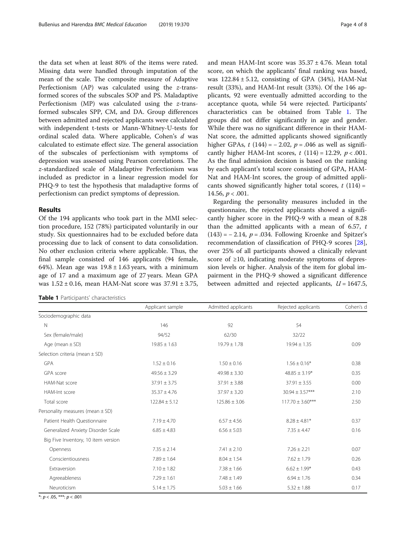<span id="page-3-0"></span>the data set when at least 80% of the items were rated. Missing data were handled through imputation of the mean of the scale. The composite measure of Adaptive Perfectionism (AP) was calculated using the z-transformed scores of the subscales SOP and PS. Maladaptive Perfectionism (MP) was calculated using the z-transformed subscales SPP, CM, and DA. Group differences between admitted and rejected applicants were calculated with independent t-tests or Mann-Whitney-U-tests for ordinal scaled data. Where applicable, Cohen's d was calculated to estimate effect size. The general association of the subscales of perfectionism with symptoms of depression was assessed using Pearson correlations. The z-standardized scale of Maladaptive Perfectionism was included as predictor in a linear regression model for PHQ-9 to test the hypothesis that maladaptive forms of perfectionism can predict symptoms of depression.

## Results

Of the 194 applicants who took part in the MMI selection procedure, 152 (78%) participated voluntarily in our study. Six questionnaires had to be excluded before data processing due to lack of consent to data consolidation. No other exclusion criteria where applicable. Thus, the final sample consisted of 146 applicants (94 female, 64%). Mean age was  $19.8 \pm 1.63$  years, with a minimum age of 17 and a maximum age of 27 years. Mean GPA was 1.52 ± 0.16, mean HAM-Nat score was 37.91 ± 3.75,

Table 1 Participants' characteristics

and mean HAM-Int score was 35.37 ± 4.76. Mean total score, on which the applicants' final ranking was based, was  $122.84 \pm 5.12$ , consisting of GPA (34%), HAM-Nat result (33%), and HAM-Int result (33%). Of the 146 applicants, 92 were eventually admitted according to the acceptance quota, while 54 were rejected. Participants' characteristics can be obtained from Table 1. The groups did not differ significantly in age and gender. While there was no significant difference in their HAM-Nat score, the admitted applicants showed significantly higher GPAs,  $t(144) = -2.02$ ,  $p = .046$  as well as significantly higher HAM-Int scores,  $t(114) = 12.29$ ,  $p < .001$ . As the final admission decision is based on the ranking by each applicant's total score consisting of GPA, HAM-Nat and HAM-Int scores, the group of admitted applicants showed significantly higher total scores,  $t(114)$  =

Regarding the personality measures included in the questionnaire, the rejected applicants showed a significantly higher score in the PHQ-9 with a mean of 8.28 than the admitted applicants with a mean of 6.57,  $t$  $(143) = -2.14$ ,  $p = .034$ . Following Kroenke and Spitzer's recommendation of classification of PHQ-9 scores [\[28](#page-7-0)], over 25% of all participants showed a clinically relevant score of ≥10, indicating moderate symptoms of depression levels or higher. Analysis of the item for global impairment in the PHQ-9 showed a significant difference between admitted and rejected applicants,  $U = 1647.5$ ,

|                                      | Applicant sample  | Admitted applicants | Rejected applicants  | Cohen's d |
|--------------------------------------|-------------------|---------------------|----------------------|-----------|
| Sociodemographic data                |                   |                     |                      |           |
| N                                    | 146               | 92                  | 54                   |           |
| Sex (female/male)                    | 94/52             | 62/30               | 32/22                |           |
| Age (mean $\pm$ SD)                  | $19.85 \pm 1.63$  | $19.79 \pm 1.78$    | $19.94 \pm 1.35$     | 0.09      |
| Selection criteria (mean $\pm$ SD)   |                   |                     |                      |           |
| <b>GPA</b>                           | $1.52 \pm 0.16$   | $1.50 \pm 0.16$     | $1.56 \pm 0.16*$     | 0.38      |
| GPA score                            | $49.56 \pm 3.29$  | $49.98 \pm 3.30$    | $48.85 \pm 3.19*$    | 0.35      |
| HAM-Nat score                        | $37.91 \pm 3.75$  | $37.91 \pm 3.88$    | $37.91 \pm 3.55$     | 0.00      |
| HAM-Int score                        | $35.37 \pm 4.76$  | $37.97 \pm 3.20$    | $30.94 \pm 3.57***$  | 2.10      |
| Total score                          | $122.84 \pm 5.12$ | $125.86 \pm 3.06$   | $117.70 \pm 3.60***$ | 2.50      |
| Personality measures (mean $\pm$ SD) |                   |                     |                      |           |
| Patient Health Ouestionnaire         | $7.19 \pm 4.70$   | $6.57 \pm 4.56$     | $8.28 \pm 4.81*$     | 0.37      |
| Generalized Anxiety Disorder Scale   | $6.85 \pm 4.83$   | $6.56 \pm 5.03$     | $7.35 \pm 4.47$      | 0.16      |
| Big Five Inventory, 10 item version  |                   |                     |                      |           |
| Openness                             | $7.35 \pm 2.14$   | $7.41 \pm 2.10$     | $7.26 \pm 2.21$      | 0.07      |
| Conscientiousness                    | $7.89 \pm 1.64$   | $8.04 \pm 1.54$     | $7.62 \pm 1.79$      | 0.26      |
| Extraversion                         | $7.10 \pm 1.82$   | $7.38 \pm 1.66$     | $6.62 \pm 1.99*$     | 0.43      |
| Agreeableness                        | $7.29 \pm 1.61$   | $7.48 \pm 1.49$     | $6.94 \pm 1.76$      | 0.34      |
| Neuroticism                          | $5.14 \pm 1.75$   | $5.03 \pm 1.66$     | $5.32 \pm 1.88$      | 0.17      |

14.56,  $p < .001$ .

 $*: p < .05, **: p < .001$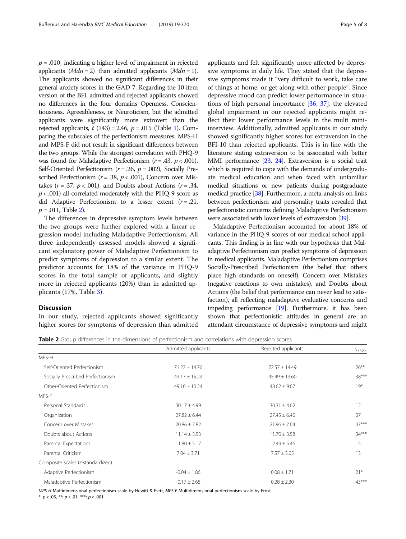$p = .010$ , indicating a higher level of impairment in rejected applicants  $(Mdn = 2)$  than admitted applicants  $(Mdn = 1)$ . The applicants showed no significant differences in their general anxiety scores in the GAD-7. Regarding the 10 item version of the BFI, admitted and rejected applicants showed no differences in the four domains Openness, Conscientiousness, Agreeableness, or Neuroticism, but the admitted applicants were significantly more extrovert than the rejected applicants,  $t(143) = 2.46$  $t(143) = 2.46$  $t(143) = 2.46$ ,  $p = .015$  (Table 1). Comparing the subscales of the perfectionism measures, MPS-H and MPS-F did not result in significant differences between the two groups. While the strongest correlation with PHQ-9 was found for Maladaptive Perfectionism ( $r = .43$ ,  $p < .001$ ), Self-Oriented Perfectionism ( $r = .26$ ,  $p = .002$ ), Socially Prescribed Perfectionism ( $r = .38$ ,  $p < .001$ ), Concern over Mistakes ( $r = .37$ ,  $p < .001$ ), and Doubts about Actions ( $r = .34$ ,  $p < .001$ ) all correlated moderately with the PHQ-9 score as did Adaptive Perfectionism to a lesser extent  $(r=.21, ...)$  $p = .011$ , Table 2).

The differences in depressive symptom levels between the two groups were further explored with a linear regression model including Maladaptive Perfectionism. All three independently assessed models showed a significant explanatory power of Maladaptive Perfectionism to predict symptoms of depression to a similar extent. The predictor accounts for 18% of the variance in PHQ-9 scores in the total sample of applicants, and slightly more in rejected applicants (20%) than in admitted applicants (17%, Table [3\)](#page-5-0).

# Discussion

In our study, rejected applicants showed significantly higher scores for symptoms of depression than admitted applicants and felt significantly more affected by depressive symptoms in daily life. They stated that the depressive symptoms made it "very difficult to work, take care of things at home, or get along with other people". Since depressive mood can predict lower performance in situations of high personal importance [\[36,](#page-7-0) [37\]](#page-7-0), the elevated global impairment in our rejected applicants might reflect their lower performance levels in the multi miniinterview. Additionally, admitted applicants in our study showed significantly higher scores for extraversion in the BFI-10 than rejected applicants. This is in line with the literature stating extraversion to be associated with better MMI performance [[23](#page-7-0), [24](#page-7-0)]. Extraversion is a social trait which is required to cope with the demands of undergraduate medical education and when faced with unfamiliar medical situations or new patients during postgraduate medical practice [\[38](#page-7-0)]. Furthermore, a meta-analysis on links between perfectionism and personality traits revealed that perfectionistic concerns defining Maladaptive Perfectionism were associated with lower levels of extraversion [\[39\]](#page-7-0).

Maladaptive Perfectionism accounted for about 18% of variance in the PHQ-9 scores of our medical school applicants. This finding is in line with our hypothesis that Maladaptive Perfectionism can predict symptoms of depression in medical applicants. Maladaptive Perfectionism comprises Socially-Prescribed Perfectionism (the belief that others place high standards on oneself), Concern over Mistakes (negative reactions to own mistakes), and Doubts about Actions (the belief that performance can never lead to satisfaction), all reflecting maladaptive evaluative concerns and impeding performance [[19](#page-6-0)]. Furthermore, it has been shown that perfectionistic attitudes in general are an attendant circumstance of depressive symptoms and might

Table 2 Group differences in the dimensions of perfectionism and correlations with depression scores

|                                   | Admitted applicants | Rejected applicants | $r_{PHQ-9}$ |
|-----------------------------------|---------------------|---------------------|-------------|
| MPS-H                             |                     |                     |             |
| Self-Oriented Perfectionism       | $71.22 \pm 14.76$   | $72.57 \pm 14.49$   | $.26***$    |
| Socially Prescribed Perfectionism | $43.17 \pm 15.23$   | $45.49 \pm 13.60$   | $.38***$    |
| Other-Oriented Perfectionism      | $49.10 \pm 10.24$   | $48.62 \pm 9.67$    | $.19*$      |
| MPS-F                             |                     |                     |             |
| Personal Standards                | $30.17 \pm 4.99$    | $30.31 \pm 4.62$    | .12         |
| Organization                      | $27.82 \pm 6.44$    | $27.45 \pm 6.40$    | .07         |
| Concern over Mistakes             | $20.86 \pm 7.82$    | $21.96 \pm 7.64$    | $37***$     |
| Doubts about Actions              | $11.14 \pm 3.53$    | $11.70 \pm 3.58$    | $34***$     |
| Parental Expectations             | $11.80 \pm 5.17$    | $12.49 \pm 5.46$    | .15         |
| Parental Criticism                | $7.04 \pm 3.71$     | $7.57 \pm 3.05$     | .13         |
| Composite scales (z-standardized) |                     |                     |             |
| Adaptive Perfectionism            | $-0.04 \pm 1.86$    | $0.08 \pm 1.71$     | $.21*$      |
| Maladaptive Perfectionism         | $-0.17 \pm 2.68$    | $0.28 \pm 2.30$     | $.43***$    |

MPS-H Multidimensional perfectionism scale by Hewitt & Flett, MPS-F Multidimensional perfectionism scale by Frost

 $*: p < .05, **: p < .01, **: p < .001$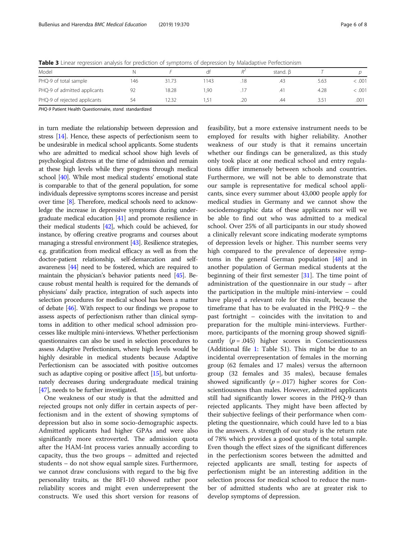<span id="page-5-0"></span>Table 3 Linear regression analysis for prediction of symptoms of depression by Maladaptive Perfectionism

| $\sim$                       |    |       |      |                |               |        |
|------------------------------|----|-------|------|----------------|---------------|--------|
| Model                        |    |       |      | stand. $\beta$ |               |        |
| PHQ-9 of total sample        | 46 | 31.73 | 1143 | د4.            | 5.63          | < 0.01 |
| PHQ-9 of admitted applicants | 92 | 18.28 | .90  | .41            | 4.28          | <.001  |
| PHQ-9 of rejected applicants | 54 | 2.32  | د.   | .44            | $3.5^{\circ}$ | .001   |

PHQ-9 Patient Health Questionnaire, stand. standardized

in turn mediate the relationship between depression and stress [\[14](#page-6-0)]. Hence, these aspects of perfectionism seem to be undesirable in medical school applicants. Some students who are admitted to medical school show high levels of psychological distress at the time of admission and remain at these high levels while they progress through medical school [\[40\]](#page-7-0). While most medical students' emotional state is comparable to that of the general population, for some individuals depressive symptoms scores increase and persist over time [\[8\]](#page-6-0). Therefore, medical schools need to acknowledge the increase in depressive symptoms during undergraduate medical education [\[41\]](#page-7-0) and promote resilience in their medical students [[42](#page-7-0)], which could be achieved, for instance, by offering creative programs and courses about managing a stressful environment [\[43\]](#page-7-0). Resilience strategies, e.g. gratification from medical efficacy as well as from the doctor-patient relationship, self-demarcation and selfawareness [[44](#page-7-0)] need to be fostered, which are required to maintain the physician's behavior patients need [\[45\]](#page-7-0). Because robust mental health is required for the demands of physicians' daily practice, integration of such aspects into selection procedures for medical school has been a matter of debate [\[46\]](#page-7-0). With respect to our findings we propose to assess aspects of perfectionism rather than clinical symptoms in addition to other medical school admission processes like multiple mini-interviews. Whether perfectionism questionnaires can also be used in selection procedures to assess Adaptive Perfectionism, where high levels would be highly desirable in medical students because Adaptive Perfectionism can be associated with positive outcomes such as adaptive coping or positive affect [\[15\]](#page-6-0), but unfortunately decreases during undergraduate medical training [[47](#page-7-0)], needs to be further investigated.

One weakness of our study is that the admitted and rejected groups not only differ in certain aspects of perfectionism and in the extent of showing symptoms of depression but also in some socio-demographic aspects. Admitted applicants had higher GPAs and were also significantly more extroverted. The admission quota after the HAM-Int process varies annually according to capacity, thus the two groups – admitted and rejected students – do not show equal sample sizes. Furthermore, we cannot draw conclusions with regard to the big five personality traits, as the BFI-10 showed rather poor reliability scores and might even underrepresent the constructs. We used this short version for reasons of

feasibility, but a more extensive instrument needs to be employed for results with higher reliability. Another weakness of our study is that it remains uncertain whether our findings can be generalized, as this study only took place at one medical school and entry regulations differ immensely between schools and countries. Furthermore, we will not be able to demonstrate that our sample is representative for medical school applicants, since every summer about 43,000 people apply for medical studies in Germany and we cannot show the sociodemographic data of these applicants nor will we be able to find out who was admitted to a medical school. Over 25% of all participants in our study showed a clinically relevant score indicating moderate symptoms of depression levels or higher. This number seems very high compared to the prevalence of depressive symptoms in the general German population [[48\]](#page-7-0) and in another population of German medical students at the beginning of their first semester [\[31\]](#page-7-0). The time point of administration of the questionnaire in our study – after the participation in the multiple mini-interview – could have played a relevant role for this result, because the timeframe that has to be evaluated in the PHQ-9 – the past fortnight – coincides with the invitation to and preparation for the multiple mini-interviews. Furthermore, participants of the morning group showed significantly  $(p=.045)$  higher scores in Conscientiousness (Additional file [1](#page-6-0): Table S1). This might be due to an incidental overrepresentation of females in the morning group (62 females and 17 males) versus the afternoon group (32 females and 35 males), because females showed significantly ( $p = .017$ ) higher scores for Conscientiousness than males. However, admitted applicants still had significantly lower scores in the PHQ-9 than rejected applicants. They might have been affected by their subjective feelings of their performance when completing the questionnaire, which could have led to a bias in the answers. A strength of our study is the return rate of 78% which provides a good quota of the total sample. Even though the effect sizes of the significant differences in the perfectionism scores between the admitted and rejected applicants are small, testing for aspects of perfectionism might be an interesting addition in the selection process for medical school to reduce the number of admitted students who are at greater risk to develop symptoms of depression.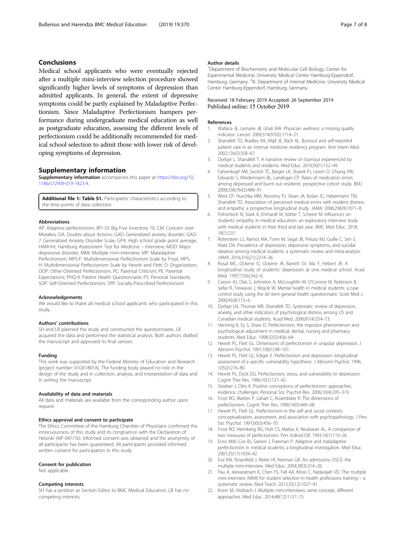# <span id="page-6-0"></span>Conclusions

Medical school applicants who were eventually rejected after a multiple mini-interview selection procedure showed significantly higher levels of symptoms of depression than admitted applicants. In general, the extent of depressive symptoms could be partly explained by Maladaptive Perfectionism. Since Maladaptive Perfectionism hampers performance during undergraduate medical education as well as postgraduate education, assessing the different levels of perfectionism could be additionally recommended for medical school selection to admit those with lower risk of developing symptoms of depression.

# Supplementary information

Supplementary information accompanies this paper at [https://doi.org/10.](https://doi.org/10.1186/s12909-019-1823-4) [1186/s12909-019-1823-4.](https://doi.org/10.1186/s12909-019-1823-4)

Additional file 1: Table S1. Participants' characteristics according to the time points of data collection.

#### Abbreviations

AP: Adaptive perfectionism; BFI-10: Big Five Inventory 10; CM: Concern over Mistakes; DA: Doubts about Actions; GAD: Generalized anxiety disorder; GAD-7: Generalized Anxiety Disorder Scale; GPA: High school grade point average; HAM-Int: Hamburg Assessment Test for Medicine – Interview; MDD: Major depressive disorder; MMI: Multiple mini-interview; MP: Maladaptive Perfectionism; MPS-F: Multidimensional Perfectionism Scale by Frost; MPS-H: Multidimensional Perfectionism Scale by Hewitt and Flett; O: Organization; OOP: Other-Oriented Perfectionism; PC: Parental Criticism; PE: Parental Expectations; PHQ-9: Patient Health Questionnaire; PS: Personal Standards; SOP: Self-Oriented Perfectionism; SPP: Socially-Prescribed Perfectionism

#### Acknowledgements

We would like to thank all medical school applicants who participated in this study.

#### Authors' contributions

SH and LB planned the study and constructed the questionnaires. LB acquired the data and performed the statistical analysis. Both authors drafted the manuscript and approved its final version.

#### Funding

This work was supported by the Federal Ministry of Education and Research (project number: 01GK1801A). The funding body played no role in the design of the study and in collection, analysis, and interpretation of data and in writing the manuscript.

#### Availability of data and materials

All data and materials are available from the corresponding author upon request.

#### Ethics approval and consent to participate

The Ethics Committee of the Hamburg Chamber of Physicians confirmed the innocuousness of this study and its congruence with the Declaration of Helsinki (WF-047/16). Informed consent was obtained and the anonymity of all participants has been guaranteed. All participants provided informed written consent for participation in this study.

#### Consent for publication

Not applicable.

#### Competing interests

SH has a position as Section Editor to BMC Medical Education. LB has no competing interests.

#### Author details

<sup>1</sup>Department of Biochemistry and Molecular Cell Biology, Center for Experimental Medicine, University Medical Center Hamburg-Eppendorf, Hamburg, Germany. <sup>2</sup>III. Department of Internal Medicine, University Medical Center Hamburg-Eppendorf, Hamburg, Germany.

# Received: 18 February 2019 Accepted: 26 September 2019 Published online: 15 October 2019

# References

- Wallace JE, Lemaire JB, Ghali WA. Physician wellness: a missing quality indicator. Lancet. 2009;374(9702):1714–21.
- 2. Shanafelt TD, Bradley KA, Wipf JE, Back AL. Burnout and self-reported patient care in an internal medicine residency program. Ann Intern Med. 2002;136(5):358–67.
- 3. Dyrbye L, Shanafelt T. A narrative review on burnout experienced by medical students and residents. Med Educ. 2016;50(1):132–49.
- 4. Fahrenkopf AM, Sectish TC, Barger LK, Sharek PJ, Lewin D, Chiang VW, Edwards S, Wiedermann BL, Landrigan CP. Rates of medication errors among depressed and burnt out residents: prospective cohort study. BMJ. 2008;336(7642):488–91.
- 5. West CP, Huschka MM, Novotny PJ, Sloan JA, Kolars JC, Habermann TM, Shanafelt TD. Association of perceived medical errors with resident distress and empathy: a prospective longitudinal study. JAMA. 2006;296(9):1071–8.
- 6. Pohontsch N, Stark A, Ehrhardt M, Kötter T, Scherer M. Influences on students' empathy in medical education: an exploratory interview study with medical students in their third and last year. BMC Med Educ. 2018; 18(1):231.
- 7. Rotenstein LS, Ramos MA, Torre M, Segal JB, Peluso MJ, Guille C, Sen S, Mata DA. Prevalence of depression, depressive symptoms, and suicidal ideation among medical students: a systematic review and meta-analysis. JAMA. 2016;316(21):2214–36.
- 8. Rosal MC, Ockene IS, Ockene JK, Barrett SV, Ma Y, Hebert JR. A longitudinal study of students' depression at one medical school. Acad Med. 1997;72(6):542–6.
- 9. Carson AJ, Dias S, Johnston A, McLoughlin M, O'Connor M, Robinson B, Sellar R, Trewavas J, Wojcik W. Mental health in medical students: a case control study using the 60 item general health questionnaire. Scott Med J. 2000;45(4):115–6.
- 10. Dyrbye LN, Thomas MR, Shanafelt TD. Systematic review of depression, anxiety, and other indicators of psychological distress among US and Canadian medical students. Acad Med. 2006;81(4):354–73.
- 11. Henning K, Ey S, Shaw D. Perfectionism, the impostor phenomenon and psychological adjustment in medical, dental, nursing and pharmacy students. Med Educ. 1998;32(5):456–64.
- 12. Hewitt PL, Flett GL. Dimensions of perfectionism in unipolar depression. J Abnorm Psychol. 1991;100(1):98–101.
- 13. Hewitt PL, Flett GL, Ediger E. Perfectionism and depression: longitudinal assessment of a specific vulnerability hypothesis. J Abnorm Psychol. 1996; 105(2):276–80.
- 14. Hewitt PL, Dyck DG. Perfectionism, stress, and vulnerability to depression. Cognit Ther Res. 1986;10(1):137–42.
- 15. Stoeber J, Otto K. Positive conceptions of perfectionism: approaches, evidence, challenges. Personal Soc Psychol Rev. 2006;10(4):295–319.
- 16. Frost RO, Marten P, Lahart C, Rosenblate R. The dimensions of perfectionism. Cognit Ther Res. 1990;14(5):449–68.
- 17. Hewitt PL, Flett GL. Perfectionism in the self and social contexts: conceptualization, assessment, and association with psychopathology. J Pers Soc Psychol. 1991;60(3):456–70.
- 18. Frost RO, Heimberg RG, Holt CS, Mattia JI, Neubauer AL. A comparison of two measures of perfectionism. Pers Individ Dif. 1993;14(1):119–26.
- 19. Enns MW, Cox BJ, Sareen J, Freeman P. Adaptive and maladaptive perfectionism in medical students: a longitudinal investigation. Med Educ. 2001;35(11):1034–42.
- 20. Eva KW, Rosenfeld J, Reiter HI, Norman GR. An admissions OSCE: the multiple mini-interview. Med Educ. 2004;38(3):314–26.
- 21. Pau A, Jeevaratnam K, Chen YS, Fall AA, Khoo C, Nadarajah VD. The multiple mini-interview (MMI) for student selection in health professions training – a systematic review. Med Teach. 2013;35(12):1027–41.
- 22. Knorr M, Hissbach J. Multiple mini-interviews: same concept, different approaches. Med Educ. 2014;48(12):1157–75.